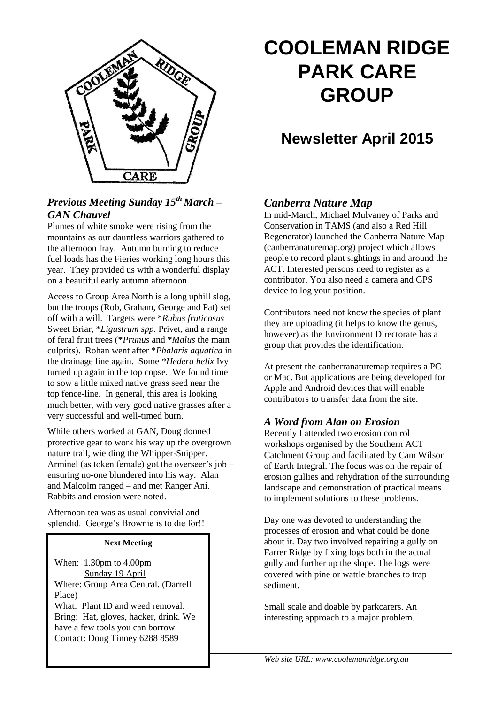

# *Previous Meeting Sunday 15th March – GAN Chauvel*

Plumes of white smoke were rising from the mountains as our dauntless warriors gathered to the afternoon fray. Autumn burning to reduce fuel loads has the Fieries working long hours this year. They provided us with a wonderful display on a beautiful early autumn afternoon.

Access to Group Area North is a long uphill slog, but the troops (Rob, Graham, George and Pat) set off with a will. Targets were \**Rubus fruticosus*  Sweet Briar, \**Ligustrum spp.* Privet, and a range of feral fruit trees (\**Prunus* and \**Malus* the main culprits). Rohan went after \**Phalaris aquatica* in the drainage line again. Some *\*Hedera helix* Ivy turned up again in the top copse. We found time to sow a little mixed native grass seed near the top fence-line. In general, this area is looking much better, with very good native grasses after a very successful and well-timed burn.

While others worked at GAN, Doug donned protective gear to work his way up the overgrown nature trail, wielding the Whipper-Snipper. Arminel (as token female) got the overseer's job – ensuring no-one blundered into his way. Alan and Malcolm ranged – and met Ranger Ani. Rabbits and erosion were noted.

Afternoon tea was as usual convivial and splendid. George's Brownie is to die for!!

#### **Next Meeting**

When: 1.30pm to 4.00pm Sunday 19 April Where: Group Area Central. (Darrell Place) What: Plant ID and weed removal. Bring: Hat, gloves, hacker, drink. We have a few tools you can borrow.

Contact: Doug Tinney 6288 8589

# **COOLEMAN RIDGE PARK CARE GROUP**

# **Newsletter April 2015**

# *Canberra Nature Map*

In mid-March, Michael Mulvaney of Parks and Conservation in TAMS (and also a Red Hill Regenerator) launched the Canberra Nature Map (canberranaturemap.org) project which allows people to record plant sightings in and around the ACT. Interested persons need to register as a contributor. You also need a camera and GPS device to log your position.

Contributors need not know the species of plant they are uploading (it helps to know the genus, however) as the Environment Directorate has a group that provides the identification.

At present the canberranaturemap requires a PC or Mac. But applications are being developed for Apple and Android devices that will enable contributors to transfer data from the site.

#### *A Word from Alan on Erosion*

Recently I attended two erosion control workshops organised by the Southern ACT Catchment Group and facilitated by Cam Wilson of Earth Integral. The focus was on the repair of erosion gullies and rehydration of the surrounding landscape and demonstration of practical means to implement solutions to these problems.

Day one was devoted to understanding the processes of erosion and what could be done about it. Day two involved repairing a gully on Farrer Ridge by fixing logs both in the actual gully and further up the slope. The logs were covered with pine or wattle branches to trap sediment.

Small scale and doable by parkcarers. An interesting approach to a major problem.